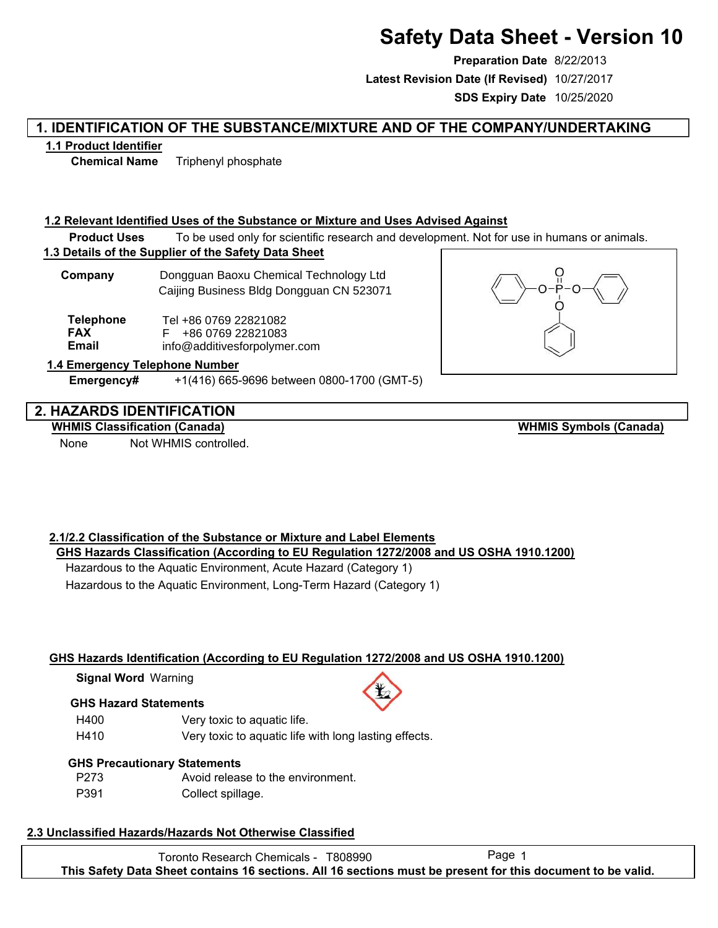# **Safety Data Sheet - Version 10**

**Preparation Date** 8/22/2013 **SDS Expiry Date** 10/25/2020 **Latest Revision Date (If Revised)** 10/27/2017

# **1. IDENTIFICATION OF THE SUBSTANCE/MIXTURE AND OF THE COMPANY/UNDERTAKING**

# **1.1 Product Identifier**

**Chemical Name** Triphenyl phosphate

# **1.2 Relevant Identified Uses of the Substance or Mixture and Uses Advised Against**

**Product Uses** To be used only for scientific research and development. Not for use in humans or animals.

# **1.3 Details of the Supplier of the Safety Data Sheet**

**Company** Dongguan Baoxu Chemical Technology Ltd Caijing Business Bldg Dongguan CN 523071

Tel +86 0769 22821082 F +86 0769 22821083 info@additivesforpolymer.com **Telephone FAX Email**

# **1.4 Emergency Telephone Number**

**Emergency#** +1(416) 665-9696 between 0800-1700 (GMT-5)

# **2. HAZARDS IDENTIFICATION**

# **WHMIS Classification (Canada)**

None Not WHMIS controlled.

**WHMIS Symbols (Canada)**

# **2.1/2.2 Classification of the Substance or Mixture and Label Elements GHS Hazards Classification (According to EU Regulation 1272/2008 and US OSHA 1910.1200)**

Hazardous to the Aquatic Environment, Acute Hazard (Category 1) Hazardous to the Aquatic Environment, Long-Term Hazard (Category 1)

# **GHS Hazards Identification (According to EU Regulation 1272/2008 and US OSHA 1910.1200)**

**Signal Word** Warning

# **GHS Hazard Statements**



# **GHS Precautionary Statements**

| P273 | Avoid release to the environment. |
|------|-----------------------------------|
| P391 | Collect spillage.                 |

# **2.3 Unclassified Hazards/Hazards Not Otherwise Classified**

Toronto Research Chemicals - T808990 Page 1 **This Safety Data Sheet contains 16 sections. All 16 sections must be present for this document to be valid.**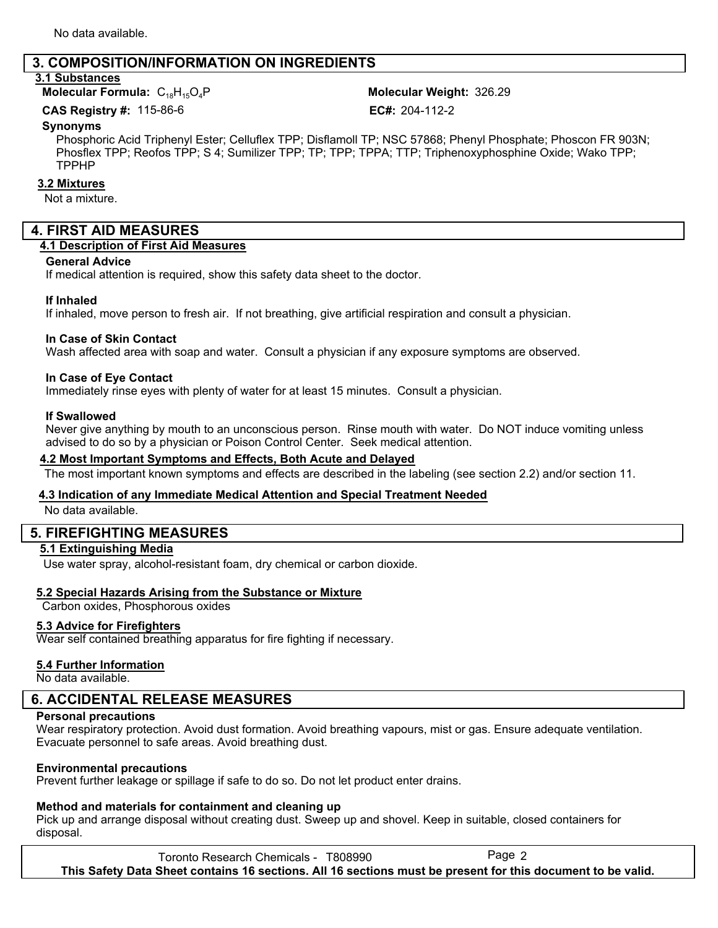# **3. COMPOSITION/INFORMATION ON INGREDIENTS**

#### **3.1 Substances**

**Molecular Formula: C<sub>18</sub>H<sub>15</sub>O<sub>4</sub>P** 

Molecular Weight: 326.29

**CAS Registry #: 115-86-6** 

EC#: 204-112-2

#### **Synonyms**

Phosphoric Acid Triphenyl Ester; Celluflex TPP; Disflamoll TP; NSC 57868; Phenyl Phosphate; Phoscon FR 903N; Phosflex TPP; Reofos TPP; S 4; Sumilizer TPP; TP; TPP; TPPA; TTP; Triphenoxyphosphine Oxide; Wako TPP; TPPHP

#### **3.2 Mixtures**

Not a mixture.

# **4. FIRST AID MEASURES**

# **4.1 Description of First Aid Measures**

#### **General Advice**

If medical attention is required, show this safety data sheet to the doctor.

#### **If Inhaled**

If inhaled, move person to fresh air. If not breathing, give artificial respiration and consult a physician.

#### **In Case of Skin Contact**

Wash affected area with soap and water. Consult a physician if any exposure symptoms are observed.

#### **In Case of Eye Contact**

Immediately rinse eyes with plenty of water for at least 15 minutes. Consult a physician.

#### **If Swallowed**

Never give anything by mouth to an unconscious person. Rinse mouth with water. Do NOT induce vomiting unless advised to do so by a physician or Poison Control Center. Seek medical attention.

#### **4.2 Most Important Symptoms and Effects, Both Acute and Delayed**

The most important known symptoms and effects are described in the labeling (see section 2.2) and/or section 11.

#### **4.3 Indication of any Immediate Medical Attention and Special Treatment Needed**

No data available.

# **5. FIREFIGHTING MEASURES**

#### **5.1 Extinguishing Media**

Use water spray, alcohol-resistant foam, dry chemical or carbon dioxide.

#### **5.2 Special Hazards Arising from the Substance or Mixture**

Carbon oxides, Phosphorous oxides

#### **5.3 Advice for Firefighters**

Wear self contained breathing apparatus for fire fighting if necessary.

#### **5.4 Further Information**

No data available.

# **6. ACCIDENTAL RELEASE MEASURES**

#### **Personal precautions**

Wear respiratory protection. Avoid dust formation. Avoid breathing vapours, mist or gas. Ensure adequate ventilation. Evacuate personnel to safe areas. Avoid breathing dust.

#### **Environmental precautions**

Prevent further leakage or spillage if safe to do so. Do not let product enter drains.

#### **Method and materials for containment and cleaning up**

Pick up and arrange disposal without creating dust. Sweep up and shovel. Keep in suitable, closed containers for disposal.

Toronto Research Chemicals - T808990 Page 2 **This Safety Data Sheet contains 16 sections. All 16 sections must be present for this document to be valid.**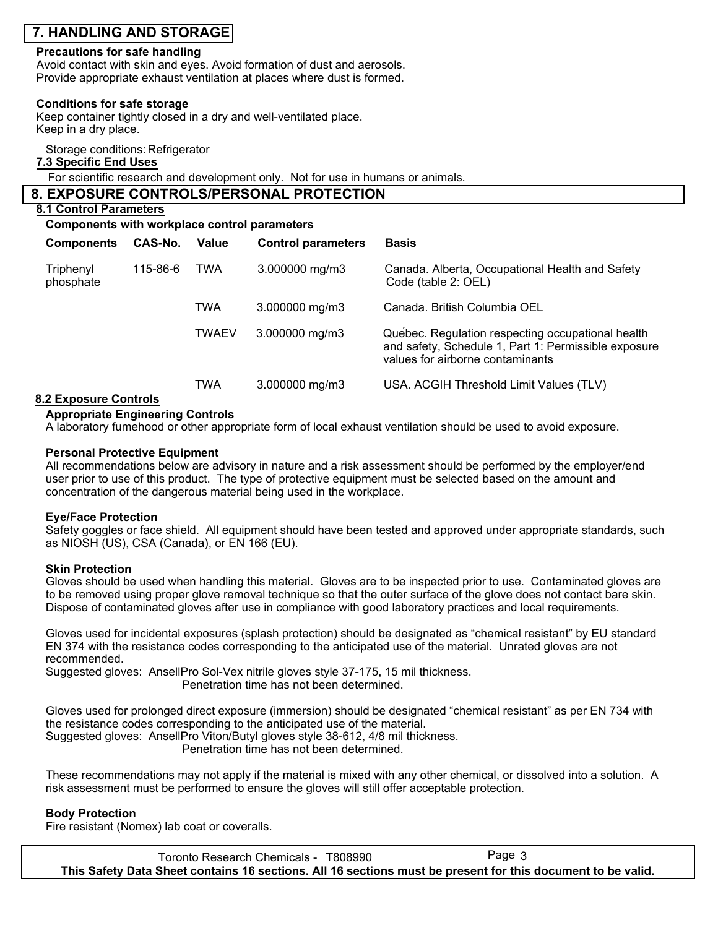# **7. HANDLING AND STORAGE**

#### **Precautions for safe handling**

Avoid contact with skin and eyes. Avoid formation of dust and aerosols. Provide appropriate exhaust ventilation at places where dust is formed.

#### **Conditions for safe storage**

Keep container tightly closed in a dry and well-ventilated place. Keep in a dry place.

Storage conditions: Refrigerator

### **7.3 Specific End Uses**

For scientific research and development only. Not for use in humans or animals.

| 8. EXPOSURE CONTROLS/PERSONAL PROTECTION     |  |
|----------------------------------------------|--|
| 8.1 Control Parameters                       |  |
| Components with workplace control parameters |  |

| <b>Components</b>                  | CAS-No. | Value        | <b>Control parameters</b> | <b>Basis</b>                                                                                                                                  |
|------------------------------------|---------|--------------|---------------------------|-----------------------------------------------------------------------------------------------------------------------------------------------|
| Triphenyl<br>115-86-6<br>phosphate |         | TWA          | $3.000000$ mg/m $3$       | Canada. Alberta, Occupational Health and Safety<br>Code (table 2: OEL)                                                                        |
|                                    |         | <b>TWA</b>   | $3.000000$ mg/m $3$       | Canada. British Columbia OEL                                                                                                                  |
|                                    |         | <b>TWAEV</b> | 3.000000 mg/m3            | Quebec. Regulation respecting occupational health<br>and safety, Schedule 1, Part 1: Permissible exposure<br>values for airborne contaminants |
| <b>O FULLATION CARDINAL</b>        |         | <b>TWA</b>   | 3.000000 mg/m3            | USA. ACGIH Threshold Limit Values (TLV)                                                                                                       |

#### **8.2 Exposure Controls**

#### **Appropriate Engineering Controls**

A laboratory fumehood or other appropriate form of local exhaust ventilation should be used to avoid exposure.

#### **Personal Protective Equipment**

All recommendations below are advisory in nature and a risk assessment should be performed by the employer/end user prior to use of this product. The type of protective equipment must be selected based on the amount and concentration of the dangerous material being used in the workplace.

#### **Eye/Face Protection**

Safety goggles or face shield. All equipment should have been tested and approved under appropriate standards, such as NIOSH (US), CSA (Canada), or EN 166 (EU).

#### **Skin Protection**

Gloves should be used when handling this material. Gloves are to be inspected prior to use. Contaminated gloves are to be removed using proper glove removal technique so that the outer surface of the glove does not contact bare skin. Dispose of contaminated gloves after use in compliance with good laboratory practices and local requirements.

Gloves used for incidental exposures (splash protection) should be designated as "chemical resistant" by EU standard EN 374 with the resistance codes corresponding to the anticipated use of the material. Unrated gloves are not recommended.

Suggested gloves: AnsellPro Sol-Vex nitrile gloves style 37-175, 15 mil thickness.

Penetration time has not been determined.

Gloves used for prolonged direct exposure (immersion) should be designated "chemical resistant" as per EN 734 with the resistance codes corresponding to the anticipated use of the material. Suggested gloves: AnsellPro Viton/Butyl gloves style 38-612, 4/8 mil thickness.

Penetration time has not been determined.

These recommendations may not apply if the material is mixed with any other chemical, or dissolved into a solution. A risk assessment must be performed to ensure the gloves will still offer acceptable protection.

#### **Body Protection**

Fire resistant (Nomex) lab coat or coveralls.

Toronto Research Chemicals - T808990 Page 3 **This Safety Data Sheet contains 16 sections. All 16 sections must be present for this document to be valid.**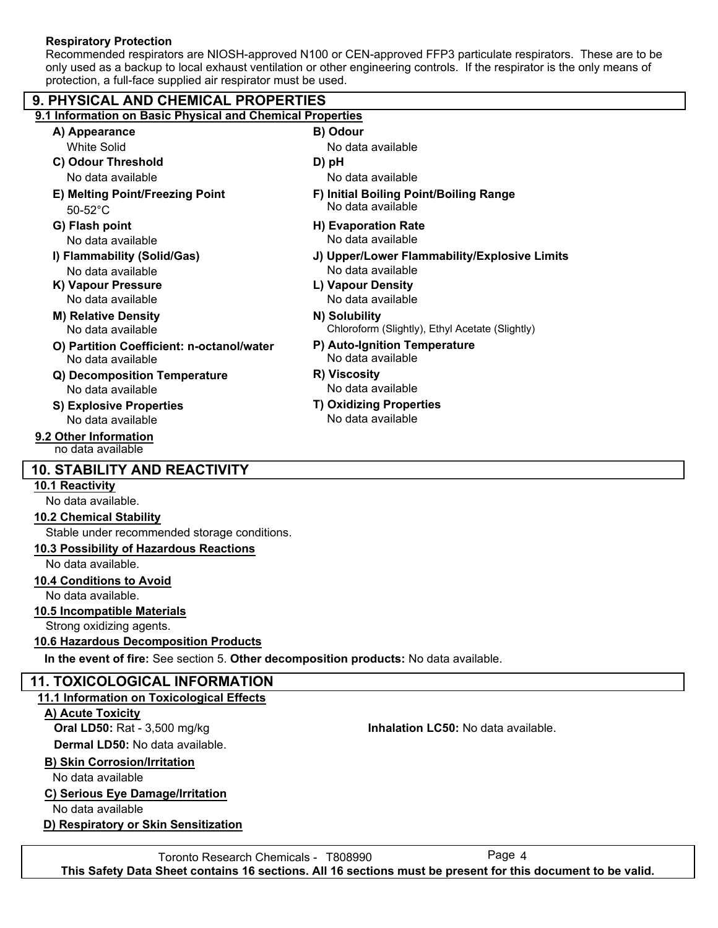# **Respiratory Protection**

Recommended respirators are NIOSH-approved N100 or CEN-approved FFP3 particulate respirators. These are to be only used as a backup to local exhaust ventilation or other engineering controls. If the respirator is the only means of protection, a full-face supplied air respirator must be used.

| 9. PHYSICAL AND CHEMICAL PROPERTIES                                                   |                                                   |  |  |  |  |  |
|---------------------------------------------------------------------------------------|---------------------------------------------------|--|--|--|--|--|
| 9.1 Information on Basic Physical and Chemical Properties                             |                                                   |  |  |  |  |  |
| A) Appearance                                                                         | B) Odour                                          |  |  |  |  |  |
| <b>White Solid</b>                                                                    | No data available                                 |  |  |  |  |  |
| C) Odour Threshold                                                                    | D) pH                                             |  |  |  |  |  |
| No data available                                                                     | No data available                                 |  |  |  |  |  |
| E) Melting Point/Freezing Point                                                       | F) Initial Boiling Point/Boiling Range            |  |  |  |  |  |
| $50-52^{\circ}$ C                                                                     | No data available                                 |  |  |  |  |  |
| G) Flash point                                                                        | H) Evaporation Rate                               |  |  |  |  |  |
| No data available                                                                     | No data available                                 |  |  |  |  |  |
| I) Flammability (Solid/Gas)                                                           | J) Upper/Lower Flammability/Explosive Limits      |  |  |  |  |  |
| No data available                                                                     | No data available                                 |  |  |  |  |  |
| K) Vapour Pressure                                                                    | L) Vapour Density                                 |  |  |  |  |  |
| No data available                                                                     | No data available                                 |  |  |  |  |  |
| <b>M) Relative Density</b>                                                            | N) Solubility                                     |  |  |  |  |  |
| No data available                                                                     | Chloroform (Slightly), Ethyl Acetate (Slightly)   |  |  |  |  |  |
| O) Partition Coefficient: n-octanol/water                                             | P) Auto-Ignition Temperature<br>No data available |  |  |  |  |  |
| No data available                                                                     | R) Viscosity                                      |  |  |  |  |  |
| Q) Decomposition Temperature<br>No data available                                     | No data available                                 |  |  |  |  |  |
|                                                                                       | <b>T) Oxidizing Properties</b>                    |  |  |  |  |  |
| <b>S) Explosive Properties</b><br>No data available                                   | No data available                                 |  |  |  |  |  |
| 9.2 Other Information                                                                 |                                                   |  |  |  |  |  |
| no data available                                                                     |                                                   |  |  |  |  |  |
| <b>10. STABILITY AND REACTIVITY</b>                                                   |                                                   |  |  |  |  |  |
| 10.1 Reactivity                                                                       |                                                   |  |  |  |  |  |
| No data available.                                                                    |                                                   |  |  |  |  |  |
| <b>10.2 Chemical Stability</b>                                                        |                                                   |  |  |  |  |  |
| Stable under recommended storage conditions.                                          |                                                   |  |  |  |  |  |
| 10.3 Possibility of Hazardous Reactions                                               |                                                   |  |  |  |  |  |
| No data available.                                                                    |                                                   |  |  |  |  |  |
| 10.4 Conditions to Avoid                                                              |                                                   |  |  |  |  |  |
| No data available.                                                                    |                                                   |  |  |  |  |  |
| 10.5 Incompatible Materials                                                           |                                                   |  |  |  |  |  |
| Strong oxidizing agents.                                                              |                                                   |  |  |  |  |  |
| 10.6 Hazardous Decomposition Products                                                 |                                                   |  |  |  |  |  |
| In the event of fire: See section 5. Other decomposition products: No data available. |                                                   |  |  |  |  |  |
| <b>11. TOXICOLOGICAL INFORMATION</b>                                                  |                                                   |  |  |  |  |  |
| 11.1 Information on Toxicological Effects                                             |                                                   |  |  |  |  |  |
| A) Acute Toxicity                                                                     |                                                   |  |  |  |  |  |
| Oral LD50: Rat - 3,500 mg/kg                                                          | Inhalation LC50: No data available.               |  |  |  |  |  |
| Dermal LD50: No data available.                                                       |                                                   |  |  |  |  |  |
| <b>B) Skin Corrosion/Irritation</b>                                                   |                                                   |  |  |  |  |  |
| No data available                                                                     |                                                   |  |  |  |  |  |
| C) Serious Eye Damage/Irritation                                                      |                                                   |  |  |  |  |  |

No data available

# **D) Respiratory or Skin Sensitization**

Toronto Research Chemicals - T808990 Page 4 **This Safety Data Sheet contains 16 sections. All 16 sections must be present for this document to be valid.**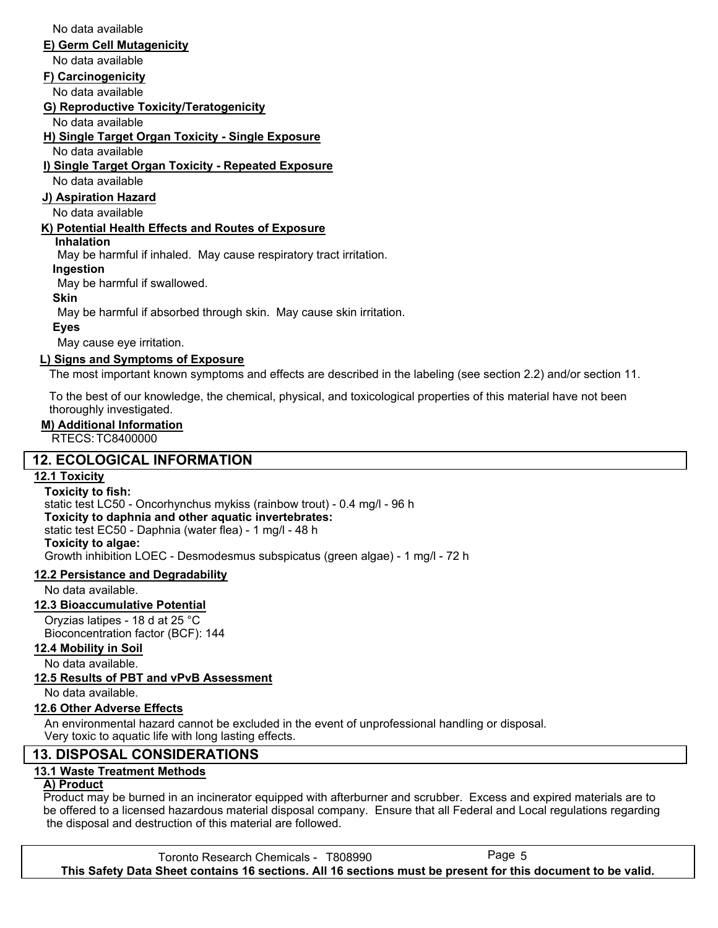No data available

#### **E) Germ Cell Mutagenicity**

No data available

### **F) Carcinogenicity**

No data available

**G) Reproductive Toxicity/Teratogenicity**

No data available

**H) Single Target Organ Toxicity - Single Exposure**

No data available

### **I) Single Target Organ Toxicity - Repeated Exposure**

No data available

# **J) Aspiration Hazard**

No data available

# **K) Potential Health Effects and Routes of Exposure**

# **Inhalation**

May be harmful if inhaled. May cause respiratory tract irritation.

# **Ingestion**

May be harmful if swallowed.

#### **Skin**

May be harmful if absorbed through skin. May cause skin irritation.

# **Eyes**

May cause eye irritation.

# **L) Signs and Symptoms of Exposure**

The most important known symptoms and effects are described in the labeling (see section 2.2) and/or section 11.

To the best of our knowledge, the chemical, physical, and toxicological properties of this material have not been thoroughly investigated.

# **M) Additional Information**

RTECS: TC8400000

# **12. ECOLOGICAL INFORMATION**

# **12.1 Toxicity**

**Toxicity to fish:** static test LC50 - Oncorhynchus mykiss (rainbow trout) - 0.4 mg/l - 96 h **Toxicity to daphnia and other aquatic invertebrates:** static test EC50 - Daphnia (water flea) - 1 mg/l - 48 h **Toxicity to algae:** Growth inhibition LOEC - Desmodesmus subspicatus (green algae) - 1 mg/l - 72 h

# **12.2 Persistance and Degradability**

No data available.

# **12.3 Bioaccumulative Potential**

Oryzias latipes - 18 d at 25 °C Bioconcentration factor (BCF): 144

# **12.4 Mobility in Soil**

No data available.

# **12.5 Results of PBT and vPvB Assessment**

No data available.

# **12.6 Other Adverse Effects**

An environmental hazard cannot be excluded in the event of unprofessional handling or disposal. Very toxic to aquatic life with long lasting effects.

# **13. DISPOSAL CONSIDERATIONS**

# **13.1 Waste Treatment Methods**

# **A) Product**

Product may be burned in an incinerator equipped with afterburner and scrubber. Excess and expired materials are to be offered to a licensed hazardous material disposal company. Ensure that all Federal and Local regulations regarding the disposal and destruction of this material are followed.

Toronto Research Chemicals - T808990 Page 5 **This Safety Data Sheet contains 16 sections. All 16 sections must be present for this document to be valid.**